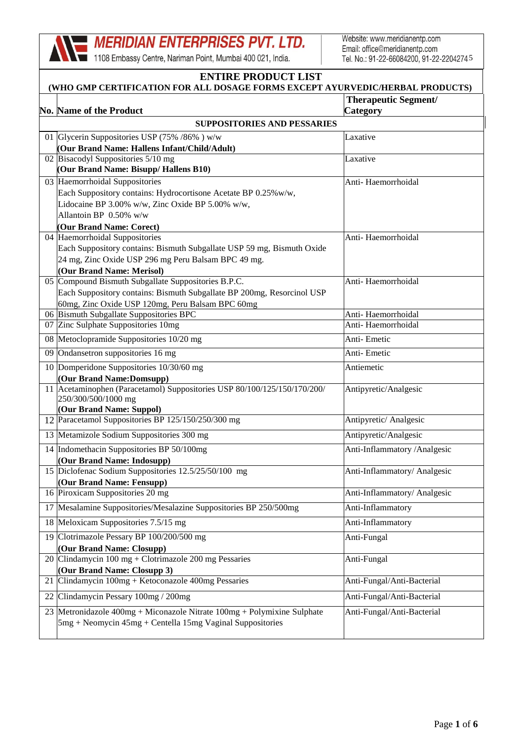1108 Embassy Centre, Nariman Point, Mumbai 400 021, India.

Website: www.meridianentp.com Email: office@meridianentp.com Tel. No.: 91-22-66084200, 91-22-2204274.5

### **ENTIRE PRODUCT LIST (WHO GMP CERTIFICATION FOR ALL DOSAGE FORMS EXCEPT AYURVEDIC/HERBAL PRODUCTS) No. Name of the Product Therapeutic Segment/ Category SUPPOSITORIES AND PESSARIES** 01 Glycerin Suppositories USP (75% /86% ) w/w Laxative **(Our Brand Name: Hallens Infant/Child/Adult)** 02 Bisacodyl Suppositories 5/10 mg Laxative **(Our Brand Name: Bisupp/ Hallens B10)** 03 Haemorrhoidal Suppositories Anti- Haemorrhoidal Each Suppository contains: Hydrocortisone Acetate BP 0.25%w/w, Lidocaine BP 3.00% w/w, Zinc Oxide BP 5.00% w/w, Allantoin BP 0.50% w/w **(Our Brand Name: Corect)** 04 Haemorrhoidal Suppositories Anti- Haemorrhoidal Each Suppository contains: Bismuth Subgallate USP 59 mg, Bismuth Oxide 24 mg, Zinc Oxide USP 296 mg Peru Balsam BPC 49 mg. **(Our Brand Name: Merisol)** 05 Compound Bismuth Subgallate Suppositories B.P.C. Anti- Haemorrhoidal Each Suppository contains: Bismuth Subgallate BP 200mg, Resorcinol USP 60mg, Zinc Oxide USP 120mg, Peru Balsam BPC 60mg 06 Bismuth Subgallate Suppositories BPC Anti- Haemorrhoidal 07 Zinc Sulphate Suppositories 10mg Anti- Haemorrhoidal 08 Metoclopramide Suppositories 10/20 mg Anti- Emetic 09 Ondansetron suppositories 16 mg Anti- Emetic 10 Domperidone Suppositories 10/30/60 mg Antiemetic **(Our Brand Name:Domsupp)** 11 Acetaminophen (Paracetamol) Suppositories USP 80/100/125/150/170/200/ Antipyretic/Analgesic 250/300/500/1000 mg **(Our Brand Name: Suppol)** 12 Paracetamol Suppositories BP 125/150/250/300 mg Antipyretic/ Analgesic 13 Metamizole Sodium Suppositories 300 mg Antipyretic/Analgesic 14 Indomethacin Suppositories BP 50/100mg Anti-Inflammatory /Analgesic **(Our Brand Name: Indosupp)** 15 Diclofenac Sodium Suppositories 12.5/25/50/100 mg Anti-Inflammatory/ Analgesic **(Our Brand Name: Fensupp)** 16 Piroxicam Suppositories 20 mg 17 Mesalamine Suppositories/Mesalazine Suppositories BP 250/500mg Anti-Inflammatory 18 Meloxicam Suppositories 7.5/15 mg Anti-Inflammatory 19 Clotrimazole Pessary BP 100/200/500 mg Anti-Fungal **(Our Brand Name: Closupp)** 20 Clindamycin 100 mg + Clotrimazole 200 mg Pessaries Anti-Fungal **(Our Brand Name: Closupp 3)** 21 Clindamycin 100mg + Ketoconazole 400mg Pessaries Anti-Fungal/Anti-Bacterial 22 Clindamycin Pessary 100mg / 200mg Anti-Fungal/Anti-Bacterial 23 Metronidazole 400mg + Miconazole Nitrate 100mg + Polymixine Sulphate Anti-Fungal/Anti-Bacterial 5mg + Neomycin 45mg + Centella 15mg Vaginal Suppositories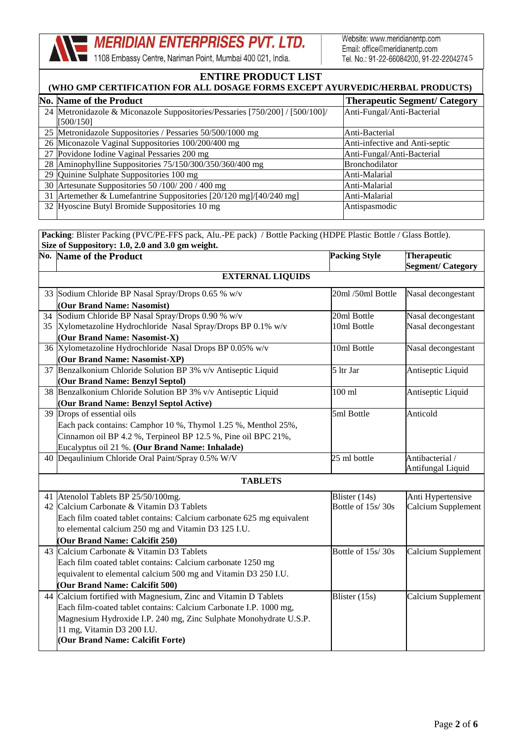1108 Embassy Centre, Nariman Point, Mumbai 400 021, India.

Website: www.meridianentp.com Email: office@meridianentp.com Tel. No.: 91-22-66084200, 91-22-2204274.5

#### **ENTIRE PRODUCT LIST (WHO GMP CERTIFICATION FOR ALL DOSAGE FORMS EXCEPT AYURVEDIC/HERBAL PRODUCTS)**

| (WHO GML CERTIFICATION FOR ALL DOGAGE FORMS EACEFT AT OR VEDIC/HERDAL FRODUCTS) |                                                                                                                                                                                                                                                                                                                                                                                                                                                                                                                                                                      |  |  |
|---------------------------------------------------------------------------------|----------------------------------------------------------------------------------------------------------------------------------------------------------------------------------------------------------------------------------------------------------------------------------------------------------------------------------------------------------------------------------------------------------------------------------------------------------------------------------------------------------------------------------------------------------------------|--|--|
|                                                                                 | <b>Therapeutic Segment/ Category</b>                                                                                                                                                                                                                                                                                                                                                                                                                                                                                                                                 |  |  |
|                                                                                 | Anti-Fungal/Anti-Bacterial                                                                                                                                                                                                                                                                                                                                                                                                                                                                                                                                           |  |  |
| [500/150]                                                                       |                                                                                                                                                                                                                                                                                                                                                                                                                                                                                                                                                                      |  |  |
|                                                                                 | Anti-Bacterial                                                                                                                                                                                                                                                                                                                                                                                                                                                                                                                                                       |  |  |
|                                                                                 | Anti-infective and Anti-septic                                                                                                                                                                                                                                                                                                                                                                                                                                                                                                                                       |  |  |
|                                                                                 | Anti-Fungal/Anti-Bacterial                                                                                                                                                                                                                                                                                                                                                                                                                                                                                                                                           |  |  |
|                                                                                 | <b>Bronchodilator</b>                                                                                                                                                                                                                                                                                                                                                                                                                                                                                                                                                |  |  |
|                                                                                 | Anti-Malarial                                                                                                                                                                                                                                                                                                                                                                                                                                                                                                                                                        |  |  |
|                                                                                 | Anti-Malarial                                                                                                                                                                                                                                                                                                                                                                                                                                                                                                                                                        |  |  |
|                                                                                 | Anti-Malarial                                                                                                                                                                                                                                                                                                                                                                                                                                                                                                                                                        |  |  |
|                                                                                 | Antispasmodic                                                                                                                                                                                                                                                                                                                                                                                                                                                                                                                                                        |  |  |
|                                                                                 | <b>No. Name of the Product</b><br>24 Metronidazole & Miconazole Suppositories/Pessaries [750/200] / [500/100]/<br>25 Metronidazole Suppositories / Pessaries 50/500/1000 mg<br>26 Miconazole Vaginal Suppositories 100/200/400 mg<br>27 Povidone Iodine Vaginal Pessaries 200 mg<br>28 Aminophylline Suppositories 75/150/300/350/360/400 mg<br>29 Quinine Sulphate Suppositories 100 mg<br>30 Artesunate Suppositories 50 /100/ 200 / 400 mg<br>31 Artemether & Lumefantrine Suppositories [20/120 mg]/[40/240 mg]<br>32 Hyoscine Butyl Bromide Suppositories 10 mg |  |  |

Packing: Blister Packing (PVC/PE-FFS pack, Alu.-PE pack) / Bottle Packing (HDPE Plastic Bottle / Glass Bottle). **Size of Suppository: 1.0, 2.0 and 3.0 gm weight.**

| <b>No. Name of the Product</b>                                                                | <b>Packing Style</b> | <b>Therapeutic</b><br><b>Segment/ Category</b> |  |
|-----------------------------------------------------------------------------------------------|----------------------|------------------------------------------------|--|
| <b>EXTERNAL LIQUIDS</b>                                                                       |                      |                                                |  |
|                                                                                               | 20ml /50ml Bottle    |                                                |  |
| 33 Sodium Chloride BP Nasal Spray/Drops 0.65 % w/v                                            |                      | Nasal decongestant                             |  |
| (Our Brand Name: Nasomist)                                                                    |                      |                                                |  |
| 34 Sodium Chloride BP Nasal Spray/Drops 0.90 % w/v                                            | 20ml Bottle          | Nasal decongestant                             |  |
| 35 Xylometazoline Hydrochloride Nasal Spray/Drops BP 0.1% w/v<br>(Our Brand Name: Nasomist-X) | 10ml Bottle          | Nasal decongestant                             |  |
| 36 Xylometazoline Hydrochloride Nasal Drops BP 0.05% w/v                                      | 10ml Bottle          | Nasal decongestant                             |  |
| (Our Brand Name: Nasomist-XP)                                                                 |                      |                                                |  |
| 37 Benzalkonium Chloride Solution BP 3% v/v Antiseptic Liquid                                 | 5 ltr Jar            | Antiseptic Liquid                              |  |
| (Our Brand Name: Benzyl Septol)                                                               |                      |                                                |  |
| 38 Benzalkonium Chloride Solution BP 3% v/v Antiseptic Liquid                                 | $100$ ml             | Antiseptic Liquid                              |  |
| (Our Brand Name: Benzyl Septol Active)                                                        |                      |                                                |  |
| 39 Drops of essential oils                                                                    | 5ml Bottle           | Anticold                                       |  |
| Each pack contains: Camphor 10 %, Thymol 1.25 %, Menthol 25%,                                 |                      |                                                |  |
| Cinnamon oil BP 4.2 %, Terpineol BP 12.5 %, Pine oil BPC 21%,                                 |                      |                                                |  |
| Eucalyptus oil 21 %. (Our Brand Name: Inhalade)                                               |                      |                                                |  |
| 40 Deqaulinium Chloride Oral Paint/Spray 0.5% W/V                                             | 25 ml bottle         | Antibacterial/                                 |  |
|                                                                                               |                      | Antifungal Liquid                              |  |
| <b>TABLETS</b>                                                                                |                      |                                                |  |
| 41 Atenolol Tablets BP 25/50/100mg.                                                           | Blister (14s)        | Anti Hypertensive                              |  |
| 42 Calcium Carbonate & Vitamin D3 Tablets                                                     | Bottle of 15s/30s    | Calcium Supplement                             |  |
| Each film coated tablet contains: Calcium carbonate 625 mg equivalent                         |                      |                                                |  |
| to elemental calcium 250 mg and Vitamin D3 125 I.U.                                           |                      |                                                |  |
| Our Brand Name: Calcifit 250)                                                                 |                      |                                                |  |
| 43 Calcium Carbonate & Vitamin D3 Tablets                                                     | Bottle of 15s/30s    | Calcium Supplement                             |  |
| Each film coated tablet contains: Calcium carbonate 1250 mg                                   |                      |                                                |  |
| equivalent to elemental calcium 500 mg and Vitamin D3 250 I.U.                                |                      |                                                |  |
| (Our Brand Name: Calcifit 500)                                                                |                      |                                                |  |
| 44 Calcium fortified with Magnesium, Zinc and Vitamin D Tablets                               | Blister (15s)        | Calcium Supplement                             |  |
| Each film-coated tablet contains: Calcium Carbonate I.P. 1000 mg,                             |                      |                                                |  |
| Magnesium Hydroxide I.P. 240 mg, Zinc Sulphate Monohydrate U.S.P.                             |                      |                                                |  |
| 11 mg, Vitamin D3 200 I.U.                                                                    |                      |                                                |  |
| (Our Brand Name: Calcifit Forte)                                                              |                      |                                                |  |
|                                                                                               |                      |                                                |  |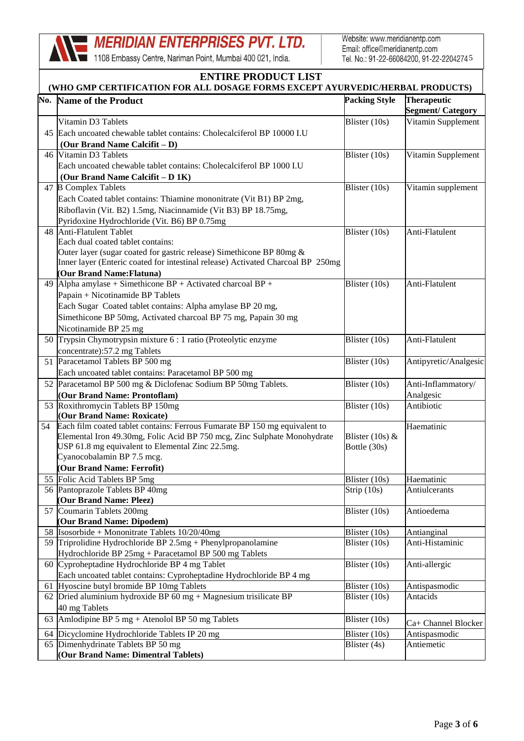1108 Embassy Centre, Nariman Point, Mumbai 400 021, India.

Website: www.meridianentp.com Email: office@meridianentp.com Tel. No.: 91-22-66084200, 91-22-2204274.5

| <b>Packing Style</b><br><b>Therapeutic</b><br>No. Name of the Product<br><b>Segment/ Category</b><br>Vitamin Supplement<br>Vitamin D3 Tablets<br>Blister (10s)<br>45 Each uncoated chewable tablet contains: Cholecalciferol BP 10000 I.U<br>(Our Brand Name Calcifit – D)<br>46 Vitamin D3 Tablets<br>Blister (10s)<br>Vitamin Supplement<br>Each uncoated chewable tablet contains: Cholecalciferol BP 1000 I.U<br>(Our Brand Name Calcifit – D 1K)<br>47 B Complex Tablets<br>Blister (10s)<br>Vitamin supplement<br>Each Coated tablet contains: Thiamine mononitrate (Vit B1) BP 2mg,<br>Riboflavin (Vit. B2) 1.5mg, Niacinnamide (Vit B3) BP 18.75mg,<br>Pyridoxine Hydrochloride (Vit. B6) BP 0.75mg<br>48 Anti-Flatulent Tablet<br>Blister (10s)<br>Anti-Flatulent<br>Each dual coated tablet contains:<br>Outer layer (sugar coated for gastric release) Simethicone BP 80mg &<br>Inner layer (Enteric coated for intestinal release) Activated Charcoal BP 250mg<br>(Our Brand Name: Flatuna)<br>49 Alpha amylase + Simethicone $BP$ + Activated charcoal $BP$ +<br>Anti-Flatulent<br>Blister (10s)<br>Papain + Nicotinamide BP Tablets<br>Each Sugar Coated tablet contains: Alpha amylase BP 20 mg,<br>Simethicone BP 50mg, Activated charcoal BP 75 mg, Papain 30 mg<br>Nicotinamide BP 25 mg<br>50 Trypsin Chymotrypsin mixture 6 : 1 ratio (Proteolytic enzyme<br>Blister $(10s)$<br>Anti-Flatulent<br>concentrate):57.2 mg Tablets<br>51 Paracetamol Tablets BP 500 mg<br>Blister (10s)<br>Antipyretic/Analgesic<br>Each uncoated tablet contains: Paracetamol BP 500 mg<br>52 Paracetamol BP 500 mg & Diclofenac Sodium BP 50mg Tablets.<br>Blister (10s)<br>Anti-Inflammatory/<br>(Our Brand Name: Prontoflam)<br>Analgesic<br>Blister (10s)<br>53 Roxithromycin Tablets BP 150mg<br>Antibiotic<br>(Our Brand Name: Roxicate)<br>Each film coated tablet contains: Ferrous Fumarate BP 150 mg equivalent to<br>Haematinic<br>54<br>Elemental Iron 49.30mg, Folic Acid BP 750 mcg, Zinc Sulphate Monohydrate<br>Blister $(10s)$ &<br>USP 61.8 mg equivalent to Elemental Zinc 22.5mg.<br>Bottle (30s)<br>Cyanocobalamin BP 7.5 mcg.<br>(Our Brand Name: Ferrofit)<br>55 Folic Acid Tablets BP 5mg<br>Blister (10s)<br>Haematinic<br>56 Pantoprazole Tablets BP 40mg<br>Strip $(10s)$<br>Antiulcerants<br>(Our Brand Name: Pleez)<br>57 Coumarin Tablets 200mg<br>Blister (10s)<br>Antioedema<br>(Our Brand Name: Dipodem)<br>58 $\sqrt{\text{Isosorbide} + \text{Mononitrate Tables 10/20/40mg}}$<br>Blister (10s)<br>Antianginal<br>59 Triprolidine Hydrochloride BP 2.5mg + Phenylpropanolamine<br>Anti-Histaminic<br>Blister (10s)<br>Hydrochloride BP 25mg + Paracetamol BP 500 mg Tablets<br>60 Cyproheptadine Hydrochloride BP 4 mg Tablet<br>Blister (10s)<br>Anti-allergic<br>Each uncoated tablet contains: Cyproheptadine Hydrochloride BP 4 mg<br>Hyoscine butyl bromide BP 10mg Tablets<br>Blister (10s)<br>Antispasmodic<br>61<br>62 Dried aluminium hydroxide BP 60 mg + Magnesium trisilicate BP<br>Blister (10s)<br>Antacids<br>40 mg Tablets<br>63 Amlodipine BP 5 mg + Atenolol BP 50 mg Tablets<br>Blister (10s)<br>Ca+ Channel Blocker<br>Dicyclomine Hydrochloride Tablets IP 20 mg<br>Blister (10s)<br>Antispasmodic<br>64<br>65 Dimenhydrinate Tablets BP 50 mg<br>Blister (4s)<br>Antiemetic<br>(Our Brand Name: Dimentral Tablets) | <b>ENTIRE PRODUCT LIST</b><br>(WHO GMP CERTIFICATION FOR ALL DOSAGE FORMS EXCEPT AYURVEDIC/HERBAL PRODUCTS) |  |  |  |
|------------------------------------------------------------------------------------------------------------------------------------------------------------------------------------------------------------------------------------------------------------------------------------------------------------------------------------------------------------------------------------------------------------------------------------------------------------------------------------------------------------------------------------------------------------------------------------------------------------------------------------------------------------------------------------------------------------------------------------------------------------------------------------------------------------------------------------------------------------------------------------------------------------------------------------------------------------------------------------------------------------------------------------------------------------------------------------------------------------------------------------------------------------------------------------------------------------------------------------------------------------------------------------------------------------------------------------------------------------------------------------------------------------------------------------------------------------------------------------------------------------------------------------------------------------------------------------------------------------------------------------------------------------------------------------------------------------------------------------------------------------------------------------------------------------------------------------------------------------------------------------------------------------------------------------------------------------------------------------------------------------------------------------------------------------------------------------------------------------------------------------------------------------------------------------------------------------------------------------------------------------------------------------------------------------------------------------------------------------------------------------------------------------------------------------------------------------------------------------------------------------------------------------------------------------------------------------------------------------------------------------------------------------------------------------------------------------------------------------------------------------------------------------------------------------------------------------------------------------------------------------------------------------------------------------------------------------------------------------------------------------------------------------------------------------------------------------------------------------------------------------------------------------------------------------------------------------------------------------------------------------------------------------------------------------------------------------------------------------------------------|-------------------------------------------------------------------------------------------------------------|--|--|--|
|                                                                                                                                                                                                                                                                                                                                                                                                                                                                                                                                                                                                                                                                                                                                                                                                                                                                                                                                                                                                                                                                                                                                                                                                                                                                                                                                                                                                                                                                                                                                                                                                                                                                                                                                                                                                                                                                                                                                                                                                                                                                                                                                                                                                                                                                                                                                                                                                                                                                                                                                                                                                                                                                                                                                                                                                                                                                                                                                                                                                                                                                                                                                                                                                                                                                                                                                                                              |                                                                                                             |  |  |  |
|                                                                                                                                                                                                                                                                                                                                                                                                                                                                                                                                                                                                                                                                                                                                                                                                                                                                                                                                                                                                                                                                                                                                                                                                                                                                                                                                                                                                                                                                                                                                                                                                                                                                                                                                                                                                                                                                                                                                                                                                                                                                                                                                                                                                                                                                                                                                                                                                                                                                                                                                                                                                                                                                                                                                                                                                                                                                                                                                                                                                                                                                                                                                                                                                                                                                                                                                                                              |                                                                                                             |  |  |  |
|                                                                                                                                                                                                                                                                                                                                                                                                                                                                                                                                                                                                                                                                                                                                                                                                                                                                                                                                                                                                                                                                                                                                                                                                                                                                                                                                                                                                                                                                                                                                                                                                                                                                                                                                                                                                                                                                                                                                                                                                                                                                                                                                                                                                                                                                                                                                                                                                                                                                                                                                                                                                                                                                                                                                                                                                                                                                                                                                                                                                                                                                                                                                                                                                                                                                                                                                                                              |                                                                                                             |  |  |  |
|                                                                                                                                                                                                                                                                                                                                                                                                                                                                                                                                                                                                                                                                                                                                                                                                                                                                                                                                                                                                                                                                                                                                                                                                                                                                                                                                                                                                                                                                                                                                                                                                                                                                                                                                                                                                                                                                                                                                                                                                                                                                                                                                                                                                                                                                                                                                                                                                                                                                                                                                                                                                                                                                                                                                                                                                                                                                                                                                                                                                                                                                                                                                                                                                                                                                                                                                                                              |                                                                                                             |  |  |  |
|                                                                                                                                                                                                                                                                                                                                                                                                                                                                                                                                                                                                                                                                                                                                                                                                                                                                                                                                                                                                                                                                                                                                                                                                                                                                                                                                                                                                                                                                                                                                                                                                                                                                                                                                                                                                                                                                                                                                                                                                                                                                                                                                                                                                                                                                                                                                                                                                                                                                                                                                                                                                                                                                                                                                                                                                                                                                                                                                                                                                                                                                                                                                                                                                                                                                                                                                                                              |                                                                                                             |  |  |  |
|                                                                                                                                                                                                                                                                                                                                                                                                                                                                                                                                                                                                                                                                                                                                                                                                                                                                                                                                                                                                                                                                                                                                                                                                                                                                                                                                                                                                                                                                                                                                                                                                                                                                                                                                                                                                                                                                                                                                                                                                                                                                                                                                                                                                                                                                                                                                                                                                                                                                                                                                                                                                                                                                                                                                                                                                                                                                                                                                                                                                                                                                                                                                                                                                                                                                                                                                                                              |                                                                                                             |  |  |  |
|                                                                                                                                                                                                                                                                                                                                                                                                                                                                                                                                                                                                                                                                                                                                                                                                                                                                                                                                                                                                                                                                                                                                                                                                                                                                                                                                                                                                                                                                                                                                                                                                                                                                                                                                                                                                                                                                                                                                                                                                                                                                                                                                                                                                                                                                                                                                                                                                                                                                                                                                                                                                                                                                                                                                                                                                                                                                                                                                                                                                                                                                                                                                                                                                                                                                                                                                                                              |                                                                                                             |  |  |  |
|                                                                                                                                                                                                                                                                                                                                                                                                                                                                                                                                                                                                                                                                                                                                                                                                                                                                                                                                                                                                                                                                                                                                                                                                                                                                                                                                                                                                                                                                                                                                                                                                                                                                                                                                                                                                                                                                                                                                                                                                                                                                                                                                                                                                                                                                                                                                                                                                                                                                                                                                                                                                                                                                                                                                                                                                                                                                                                                                                                                                                                                                                                                                                                                                                                                                                                                                                                              |                                                                                                             |  |  |  |
|                                                                                                                                                                                                                                                                                                                                                                                                                                                                                                                                                                                                                                                                                                                                                                                                                                                                                                                                                                                                                                                                                                                                                                                                                                                                                                                                                                                                                                                                                                                                                                                                                                                                                                                                                                                                                                                                                                                                                                                                                                                                                                                                                                                                                                                                                                                                                                                                                                                                                                                                                                                                                                                                                                                                                                                                                                                                                                                                                                                                                                                                                                                                                                                                                                                                                                                                                                              |                                                                                                             |  |  |  |
|                                                                                                                                                                                                                                                                                                                                                                                                                                                                                                                                                                                                                                                                                                                                                                                                                                                                                                                                                                                                                                                                                                                                                                                                                                                                                                                                                                                                                                                                                                                                                                                                                                                                                                                                                                                                                                                                                                                                                                                                                                                                                                                                                                                                                                                                                                                                                                                                                                                                                                                                                                                                                                                                                                                                                                                                                                                                                                                                                                                                                                                                                                                                                                                                                                                                                                                                                                              |                                                                                                             |  |  |  |
|                                                                                                                                                                                                                                                                                                                                                                                                                                                                                                                                                                                                                                                                                                                                                                                                                                                                                                                                                                                                                                                                                                                                                                                                                                                                                                                                                                                                                                                                                                                                                                                                                                                                                                                                                                                                                                                                                                                                                                                                                                                                                                                                                                                                                                                                                                                                                                                                                                                                                                                                                                                                                                                                                                                                                                                                                                                                                                                                                                                                                                                                                                                                                                                                                                                                                                                                                                              |                                                                                                             |  |  |  |
|                                                                                                                                                                                                                                                                                                                                                                                                                                                                                                                                                                                                                                                                                                                                                                                                                                                                                                                                                                                                                                                                                                                                                                                                                                                                                                                                                                                                                                                                                                                                                                                                                                                                                                                                                                                                                                                                                                                                                                                                                                                                                                                                                                                                                                                                                                                                                                                                                                                                                                                                                                                                                                                                                                                                                                                                                                                                                                                                                                                                                                                                                                                                                                                                                                                                                                                                                                              |                                                                                                             |  |  |  |
|                                                                                                                                                                                                                                                                                                                                                                                                                                                                                                                                                                                                                                                                                                                                                                                                                                                                                                                                                                                                                                                                                                                                                                                                                                                                                                                                                                                                                                                                                                                                                                                                                                                                                                                                                                                                                                                                                                                                                                                                                                                                                                                                                                                                                                                                                                                                                                                                                                                                                                                                                                                                                                                                                                                                                                                                                                                                                                                                                                                                                                                                                                                                                                                                                                                                                                                                                                              |                                                                                                             |  |  |  |
|                                                                                                                                                                                                                                                                                                                                                                                                                                                                                                                                                                                                                                                                                                                                                                                                                                                                                                                                                                                                                                                                                                                                                                                                                                                                                                                                                                                                                                                                                                                                                                                                                                                                                                                                                                                                                                                                                                                                                                                                                                                                                                                                                                                                                                                                                                                                                                                                                                                                                                                                                                                                                                                                                                                                                                                                                                                                                                                                                                                                                                                                                                                                                                                                                                                                                                                                                                              |                                                                                                             |  |  |  |
|                                                                                                                                                                                                                                                                                                                                                                                                                                                                                                                                                                                                                                                                                                                                                                                                                                                                                                                                                                                                                                                                                                                                                                                                                                                                                                                                                                                                                                                                                                                                                                                                                                                                                                                                                                                                                                                                                                                                                                                                                                                                                                                                                                                                                                                                                                                                                                                                                                                                                                                                                                                                                                                                                                                                                                                                                                                                                                                                                                                                                                                                                                                                                                                                                                                                                                                                                                              |                                                                                                             |  |  |  |
|                                                                                                                                                                                                                                                                                                                                                                                                                                                                                                                                                                                                                                                                                                                                                                                                                                                                                                                                                                                                                                                                                                                                                                                                                                                                                                                                                                                                                                                                                                                                                                                                                                                                                                                                                                                                                                                                                                                                                                                                                                                                                                                                                                                                                                                                                                                                                                                                                                                                                                                                                                                                                                                                                                                                                                                                                                                                                                                                                                                                                                                                                                                                                                                                                                                                                                                                                                              |                                                                                                             |  |  |  |
|                                                                                                                                                                                                                                                                                                                                                                                                                                                                                                                                                                                                                                                                                                                                                                                                                                                                                                                                                                                                                                                                                                                                                                                                                                                                                                                                                                                                                                                                                                                                                                                                                                                                                                                                                                                                                                                                                                                                                                                                                                                                                                                                                                                                                                                                                                                                                                                                                                                                                                                                                                                                                                                                                                                                                                                                                                                                                                                                                                                                                                                                                                                                                                                                                                                                                                                                                                              |                                                                                                             |  |  |  |
|                                                                                                                                                                                                                                                                                                                                                                                                                                                                                                                                                                                                                                                                                                                                                                                                                                                                                                                                                                                                                                                                                                                                                                                                                                                                                                                                                                                                                                                                                                                                                                                                                                                                                                                                                                                                                                                                                                                                                                                                                                                                                                                                                                                                                                                                                                                                                                                                                                                                                                                                                                                                                                                                                                                                                                                                                                                                                                                                                                                                                                                                                                                                                                                                                                                                                                                                                                              |                                                                                                             |  |  |  |
|                                                                                                                                                                                                                                                                                                                                                                                                                                                                                                                                                                                                                                                                                                                                                                                                                                                                                                                                                                                                                                                                                                                                                                                                                                                                                                                                                                                                                                                                                                                                                                                                                                                                                                                                                                                                                                                                                                                                                                                                                                                                                                                                                                                                                                                                                                                                                                                                                                                                                                                                                                                                                                                                                                                                                                                                                                                                                                                                                                                                                                                                                                                                                                                                                                                                                                                                                                              |                                                                                                             |  |  |  |
|                                                                                                                                                                                                                                                                                                                                                                                                                                                                                                                                                                                                                                                                                                                                                                                                                                                                                                                                                                                                                                                                                                                                                                                                                                                                                                                                                                                                                                                                                                                                                                                                                                                                                                                                                                                                                                                                                                                                                                                                                                                                                                                                                                                                                                                                                                                                                                                                                                                                                                                                                                                                                                                                                                                                                                                                                                                                                                                                                                                                                                                                                                                                                                                                                                                                                                                                                                              |                                                                                                             |  |  |  |
|                                                                                                                                                                                                                                                                                                                                                                                                                                                                                                                                                                                                                                                                                                                                                                                                                                                                                                                                                                                                                                                                                                                                                                                                                                                                                                                                                                                                                                                                                                                                                                                                                                                                                                                                                                                                                                                                                                                                                                                                                                                                                                                                                                                                                                                                                                                                                                                                                                                                                                                                                                                                                                                                                                                                                                                                                                                                                                                                                                                                                                                                                                                                                                                                                                                                                                                                                                              |                                                                                                             |  |  |  |
|                                                                                                                                                                                                                                                                                                                                                                                                                                                                                                                                                                                                                                                                                                                                                                                                                                                                                                                                                                                                                                                                                                                                                                                                                                                                                                                                                                                                                                                                                                                                                                                                                                                                                                                                                                                                                                                                                                                                                                                                                                                                                                                                                                                                                                                                                                                                                                                                                                                                                                                                                                                                                                                                                                                                                                                                                                                                                                                                                                                                                                                                                                                                                                                                                                                                                                                                                                              |                                                                                                             |  |  |  |
|                                                                                                                                                                                                                                                                                                                                                                                                                                                                                                                                                                                                                                                                                                                                                                                                                                                                                                                                                                                                                                                                                                                                                                                                                                                                                                                                                                                                                                                                                                                                                                                                                                                                                                                                                                                                                                                                                                                                                                                                                                                                                                                                                                                                                                                                                                                                                                                                                                                                                                                                                                                                                                                                                                                                                                                                                                                                                                                                                                                                                                                                                                                                                                                                                                                                                                                                                                              |                                                                                                             |  |  |  |
|                                                                                                                                                                                                                                                                                                                                                                                                                                                                                                                                                                                                                                                                                                                                                                                                                                                                                                                                                                                                                                                                                                                                                                                                                                                                                                                                                                                                                                                                                                                                                                                                                                                                                                                                                                                                                                                                                                                                                                                                                                                                                                                                                                                                                                                                                                                                                                                                                                                                                                                                                                                                                                                                                                                                                                                                                                                                                                                                                                                                                                                                                                                                                                                                                                                                                                                                                                              |                                                                                                             |  |  |  |
|                                                                                                                                                                                                                                                                                                                                                                                                                                                                                                                                                                                                                                                                                                                                                                                                                                                                                                                                                                                                                                                                                                                                                                                                                                                                                                                                                                                                                                                                                                                                                                                                                                                                                                                                                                                                                                                                                                                                                                                                                                                                                                                                                                                                                                                                                                                                                                                                                                                                                                                                                                                                                                                                                                                                                                                                                                                                                                                                                                                                                                                                                                                                                                                                                                                                                                                                                                              |                                                                                                             |  |  |  |
|                                                                                                                                                                                                                                                                                                                                                                                                                                                                                                                                                                                                                                                                                                                                                                                                                                                                                                                                                                                                                                                                                                                                                                                                                                                                                                                                                                                                                                                                                                                                                                                                                                                                                                                                                                                                                                                                                                                                                                                                                                                                                                                                                                                                                                                                                                                                                                                                                                                                                                                                                                                                                                                                                                                                                                                                                                                                                                                                                                                                                                                                                                                                                                                                                                                                                                                                                                              |                                                                                                             |  |  |  |
|                                                                                                                                                                                                                                                                                                                                                                                                                                                                                                                                                                                                                                                                                                                                                                                                                                                                                                                                                                                                                                                                                                                                                                                                                                                                                                                                                                                                                                                                                                                                                                                                                                                                                                                                                                                                                                                                                                                                                                                                                                                                                                                                                                                                                                                                                                                                                                                                                                                                                                                                                                                                                                                                                                                                                                                                                                                                                                                                                                                                                                                                                                                                                                                                                                                                                                                                                                              |                                                                                                             |  |  |  |
|                                                                                                                                                                                                                                                                                                                                                                                                                                                                                                                                                                                                                                                                                                                                                                                                                                                                                                                                                                                                                                                                                                                                                                                                                                                                                                                                                                                                                                                                                                                                                                                                                                                                                                                                                                                                                                                                                                                                                                                                                                                                                                                                                                                                                                                                                                                                                                                                                                                                                                                                                                                                                                                                                                                                                                                                                                                                                                                                                                                                                                                                                                                                                                                                                                                                                                                                                                              |                                                                                                             |  |  |  |
|                                                                                                                                                                                                                                                                                                                                                                                                                                                                                                                                                                                                                                                                                                                                                                                                                                                                                                                                                                                                                                                                                                                                                                                                                                                                                                                                                                                                                                                                                                                                                                                                                                                                                                                                                                                                                                                                                                                                                                                                                                                                                                                                                                                                                                                                                                                                                                                                                                                                                                                                                                                                                                                                                                                                                                                                                                                                                                                                                                                                                                                                                                                                                                                                                                                                                                                                                                              |                                                                                                             |  |  |  |
|                                                                                                                                                                                                                                                                                                                                                                                                                                                                                                                                                                                                                                                                                                                                                                                                                                                                                                                                                                                                                                                                                                                                                                                                                                                                                                                                                                                                                                                                                                                                                                                                                                                                                                                                                                                                                                                                                                                                                                                                                                                                                                                                                                                                                                                                                                                                                                                                                                                                                                                                                                                                                                                                                                                                                                                                                                                                                                                                                                                                                                                                                                                                                                                                                                                                                                                                                                              |                                                                                                             |  |  |  |
|                                                                                                                                                                                                                                                                                                                                                                                                                                                                                                                                                                                                                                                                                                                                                                                                                                                                                                                                                                                                                                                                                                                                                                                                                                                                                                                                                                                                                                                                                                                                                                                                                                                                                                                                                                                                                                                                                                                                                                                                                                                                                                                                                                                                                                                                                                                                                                                                                                                                                                                                                                                                                                                                                                                                                                                                                                                                                                                                                                                                                                                                                                                                                                                                                                                                                                                                                                              |                                                                                                             |  |  |  |
|                                                                                                                                                                                                                                                                                                                                                                                                                                                                                                                                                                                                                                                                                                                                                                                                                                                                                                                                                                                                                                                                                                                                                                                                                                                                                                                                                                                                                                                                                                                                                                                                                                                                                                                                                                                                                                                                                                                                                                                                                                                                                                                                                                                                                                                                                                                                                                                                                                                                                                                                                                                                                                                                                                                                                                                                                                                                                                                                                                                                                                                                                                                                                                                                                                                                                                                                                                              |                                                                                                             |  |  |  |
|                                                                                                                                                                                                                                                                                                                                                                                                                                                                                                                                                                                                                                                                                                                                                                                                                                                                                                                                                                                                                                                                                                                                                                                                                                                                                                                                                                                                                                                                                                                                                                                                                                                                                                                                                                                                                                                                                                                                                                                                                                                                                                                                                                                                                                                                                                                                                                                                                                                                                                                                                                                                                                                                                                                                                                                                                                                                                                                                                                                                                                                                                                                                                                                                                                                                                                                                                                              |                                                                                                             |  |  |  |
|                                                                                                                                                                                                                                                                                                                                                                                                                                                                                                                                                                                                                                                                                                                                                                                                                                                                                                                                                                                                                                                                                                                                                                                                                                                                                                                                                                                                                                                                                                                                                                                                                                                                                                                                                                                                                                                                                                                                                                                                                                                                                                                                                                                                                                                                                                                                                                                                                                                                                                                                                                                                                                                                                                                                                                                                                                                                                                                                                                                                                                                                                                                                                                                                                                                                                                                                                                              |                                                                                                             |  |  |  |
|                                                                                                                                                                                                                                                                                                                                                                                                                                                                                                                                                                                                                                                                                                                                                                                                                                                                                                                                                                                                                                                                                                                                                                                                                                                                                                                                                                                                                                                                                                                                                                                                                                                                                                                                                                                                                                                                                                                                                                                                                                                                                                                                                                                                                                                                                                                                                                                                                                                                                                                                                                                                                                                                                                                                                                                                                                                                                                                                                                                                                                                                                                                                                                                                                                                                                                                                                                              |                                                                                                             |  |  |  |
|                                                                                                                                                                                                                                                                                                                                                                                                                                                                                                                                                                                                                                                                                                                                                                                                                                                                                                                                                                                                                                                                                                                                                                                                                                                                                                                                                                                                                                                                                                                                                                                                                                                                                                                                                                                                                                                                                                                                                                                                                                                                                                                                                                                                                                                                                                                                                                                                                                                                                                                                                                                                                                                                                                                                                                                                                                                                                                                                                                                                                                                                                                                                                                                                                                                                                                                                                                              |                                                                                                             |  |  |  |
|                                                                                                                                                                                                                                                                                                                                                                                                                                                                                                                                                                                                                                                                                                                                                                                                                                                                                                                                                                                                                                                                                                                                                                                                                                                                                                                                                                                                                                                                                                                                                                                                                                                                                                                                                                                                                                                                                                                                                                                                                                                                                                                                                                                                                                                                                                                                                                                                                                                                                                                                                                                                                                                                                                                                                                                                                                                                                                                                                                                                                                                                                                                                                                                                                                                                                                                                                                              |                                                                                                             |  |  |  |
|                                                                                                                                                                                                                                                                                                                                                                                                                                                                                                                                                                                                                                                                                                                                                                                                                                                                                                                                                                                                                                                                                                                                                                                                                                                                                                                                                                                                                                                                                                                                                                                                                                                                                                                                                                                                                                                                                                                                                                                                                                                                                                                                                                                                                                                                                                                                                                                                                                                                                                                                                                                                                                                                                                                                                                                                                                                                                                                                                                                                                                                                                                                                                                                                                                                                                                                                                                              |                                                                                                             |  |  |  |
|                                                                                                                                                                                                                                                                                                                                                                                                                                                                                                                                                                                                                                                                                                                                                                                                                                                                                                                                                                                                                                                                                                                                                                                                                                                                                                                                                                                                                                                                                                                                                                                                                                                                                                                                                                                                                                                                                                                                                                                                                                                                                                                                                                                                                                                                                                                                                                                                                                                                                                                                                                                                                                                                                                                                                                                                                                                                                                                                                                                                                                                                                                                                                                                                                                                                                                                                                                              |                                                                                                             |  |  |  |
|                                                                                                                                                                                                                                                                                                                                                                                                                                                                                                                                                                                                                                                                                                                                                                                                                                                                                                                                                                                                                                                                                                                                                                                                                                                                                                                                                                                                                                                                                                                                                                                                                                                                                                                                                                                                                                                                                                                                                                                                                                                                                                                                                                                                                                                                                                                                                                                                                                                                                                                                                                                                                                                                                                                                                                                                                                                                                                                                                                                                                                                                                                                                                                                                                                                                                                                                                                              |                                                                                                             |  |  |  |
|                                                                                                                                                                                                                                                                                                                                                                                                                                                                                                                                                                                                                                                                                                                                                                                                                                                                                                                                                                                                                                                                                                                                                                                                                                                                                                                                                                                                                                                                                                                                                                                                                                                                                                                                                                                                                                                                                                                                                                                                                                                                                                                                                                                                                                                                                                                                                                                                                                                                                                                                                                                                                                                                                                                                                                                                                                                                                                                                                                                                                                                                                                                                                                                                                                                                                                                                                                              |                                                                                                             |  |  |  |
|                                                                                                                                                                                                                                                                                                                                                                                                                                                                                                                                                                                                                                                                                                                                                                                                                                                                                                                                                                                                                                                                                                                                                                                                                                                                                                                                                                                                                                                                                                                                                                                                                                                                                                                                                                                                                                                                                                                                                                                                                                                                                                                                                                                                                                                                                                                                                                                                                                                                                                                                                                                                                                                                                                                                                                                                                                                                                                                                                                                                                                                                                                                                                                                                                                                                                                                                                                              |                                                                                                             |  |  |  |
|                                                                                                                                                                                                                                                                                                                                                                                                                                                                                                                                                                                                                                                                                                                                                                                                                                                                                                                                                                                                                                                                                                                                                                                                                                                                                                                                                                                                                                                                                                                                                                                                                                                                                                                                                                                                                                                                                                                                                                                                                                                                                                                                                                                                                                                                                                                                                                                                                                                                                                                                                                                                                                                                                                                                                                                                                                                                                                                                                                                                                                                                                                                                                                                                                                                                                                                                                                              |                                                                                                             |  |  |  |
|                                                                                                                                                                                                                                                                                                                                                                                                                                                                                                                                                                                                                                                                                                                                                                                                                                                                                                                                                                                                                                                                                                                                                                                                                                                                                                                                                                                                                                                                                                                                                                                                                                                                                                                                                                                                                                                                                                                                                                                                                                                                                                                                                                                                                                                                                                                                                                                                                                                                                                                                                                                                                                                                                                                                                                                                                                                                                                                                                                                                                                                                                                                                                                                                                                                                                                                                                                              |                                                                                                             |  |  |  |
|                                                                                                                                                                                                                                                                                                                                                                                                                                                                                                                                                                                                                                                                                                                                                                                                                                                                                                                                                                                                                                                                                                                                                                                                                                                                                                                                                                                                                                                                                                                                                                                                                                                                                                                                                                                                                                                                                                                                                                                                                                                                                                                                                                                                                                                                                                                                                                                                                                                                                                                                                                                                                                                                                                                                                                                                                                                                                                                                                                                                                                                                                                                                                                                                                                                                                                                                                                              |                                                                                                             |  |  |  |
|                                                                                                                                                                                                                                                                                                                                                                                                                                                                                                                                                                                                                                                                                                                                                                                                                                                                                                                                                                                                                                                                                                                                                                                                                                                                                                                                                                                                                                                                                                                                                                                                                                                                                                                                                                                                                                                                                                                                                                                                                                                                                                                                                                                                                                                                                                                                                                                                                                                                                                                                                                                                                                                                                                                                                                                                                                                                                                                                                                                                                                                                                                                                                                                                                                                                                                                                                                              |                                                                                                             |  |  |  |
|                                                                                                                                                                                                                                                                                                                                                                                                                                                                                                                                                                                                                                                                                                                                                                                                                                                                                                                                                                                                                                                                                                                                                                                                                                                                                                                                                                                                                                                                                                                                                                                                                                                                                                                                                                                                                                                                                                                                                                                                                                                                                                                                                                                                                                                                                                                                                                                                                                                                                                                                                                                                                                                                                                                                                                                                                                                                                                                                                                                                                                                                                                                                                                                                                                                                                                                                                                              |                                                                                                             |  |  |  |
|                                                                                                                                                                                                                                                                                                                                                                                                                                                                                                                                                                                                                                                                                                                                                                                                                                                                                                                                                                                                                                                                                                                                                                                                                                                                                                                                                                                                                                                                                                                                                                                                                                                                                                                                                                                                                                                                                                                                                                                                                                                                                                                                                                                                                                                                                                                                                                                                                                                                                                                                                                                                                                                                                                                                                                                                                                                                                                                                                                                                                                                                                                                                                                                                                                                                                                                                                                              |                                                                                                             |  |  |  |
|                                                                                                                                                                                                                                                                                                                                                                                                                                                                                                                                                                                                                                                                                                                                                                                                                                                                                                                                                                                                                                                                                                                                                                                                                                                                                                                                                                                                                                                                                                                                                                                                                                                                                                                                                                                                                                                                                                                                                                                                                                                                                                                                                                                                                                                                                                                                                                                                                                                                                                                                                                                                                                                                                                                                                                                                                                                                                                                                                                                                                                                                                                                                                                                                                                                                                                                                                                              |                                                                                                             |  |  |  |
|                                                                                                                                                                                                                                                                                                                                                                                                                                                                                                                                                                                                                                                                                                                                                                                                                                                                                                                                                                                                                                                                                                                                                                                                                                                                                                                                                                                                                                                                                                                                                                                                                                                                                                                                                                                                                                                                                                                                                                                                                                                                                                                                                                                                                                                                                                                                                                                                                                                                                                                                                                                                                                                                                                                                                                                                                                                                                                                                                                                                                                                                                                                                                                                                                                                                                                                                                                              |                                                                                                             |  |  |  |
|                                                                                                                                                                                                                                                                                                                                                                                                                                                                                                                                                                                                                                                                                                                                                                                                                                                                                                                                                                                                                                                                                                                                                                                                                                                                                                                                                                                                                                                                                                                                                                                                                                                                                                                                                                                                                                                                                                                                                                                                                                                                                                                                                                                                                                                                                                                                                                                                                                                                                                                                                                                                                                                                                                                                                                                                                                                                                                                                                                                                                                                                                                                                                                                                                                                                                                                                                                              |                                                                                                             |  |  |  |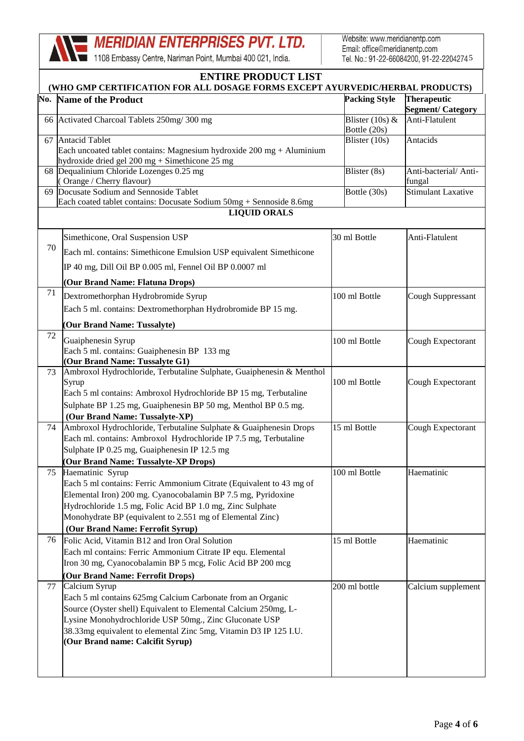1108 Embassy Centre, Nariman Point, Mumbai 400 021, India.

Website: www.meridianentp.com Email: office@meridianentp.com Tel. No.: 91-22-66084200, 91-22-2204274.5

| <b>ENTIRE PRODUCT LIST</b><br>(WHO GMP CERTIFICATION FOR ALL DOSAGE FORMS EXCEPT AYURVEDIC/HERBAL PRODUCTS) |                                                                                                                                                                                                                                                                                                                       |                                   |                                                |
|-------------------------------------------------------------------------------------------------------------|-----------------------------------------------------------------------------------------------------------------------------------------------------------------------------------------------------------------------------------------------------------------------------------------------------------------------|-----------------------------------|------------------------------------------------|
|                                                                                                             | <b>No. Name of the Product</b>                                                                                                                                                                                                                                                                                        | <b>Packing Style</b>              | <b>Therapeutic</b><br><b>Segment/ Category</b> |
|                                                                                                             | 66 Activated Charcoal Tablets 250mg/300 mg                                                                                                                                                                                                                                                                            | Blister $(10s)$ &<br>Bottle (20s) | Anti-Flatulent                                 |
|                                                                                                             | 67 Antacid Tablet<br>Each uncoated tablet contains: Magnesium hydroxide $200 \text{ mg} + \text{Al}$ uminium<br>hydroxide dried gel 200 mg + Simethicone 25 mg                                                                                                                                                        | Blister (10s)                     | Antacids                                       |
|                                                                                                             | 68 Dequalinium Chloride Lozenges 0.25 mg<br>(Orange / Cherry flavour)                                                                                                                                                                                                                                                 | Blister (8s)                      | Anti-bacterial/Anti-<br>fungal                 |
|                                                                                                             | 69 Docusate Sodium and Sennoside Tablet<br>Each coated tablet contains: Docusate Sodium 50mg + Sennoside 8.6mg                                                                                                                                                                                                        | Bottle (30s)                      | <b>Stimulant Laxative</b>                      |
|                                                                                                             | <b>LIQUID ORALS</b>                                                                                                                                                                                                                                                                                                   |                                   |                                                |
| 70                                                                                                          | Simethicone, Oral Suspension USP<br>Each ml. contains: Simethicone Emulsion USP equivalent Simethicone<br>IP 40 mg, Dill Oil BP 0.005 ml, Fennel Oil BP 0.0007 ml<br>(Our Brand Name: Flatuna Drops)                                                                                                                  | 30 ml Bottle                      | Anti-Flatulent                                 |
| 71                                                                                                          | Dextromethorphan Hydrobromide Syrup<br>Each 5 ml. contains: Dextromethorphan Hydrobromide BP 15 mg.<br>(Our Brand Name: Tussalyte)                                                                                                                                                                                    | 100 ml Bottle                     | Cough Suppressant                              |
| 72                                                                                                          | Guaiphenesin Syrup<br>Each 5 ml. contains: Guaiphenesin BP 133 mg<br>(Our Brand Name: Tussalyte G1)                                                                                                                                                                                                                   | 100 ml Bottle                     | Cough Expectorant                              |
| 73                                                                                                          | Ambroxol Hydrochloride, Terbutaline Sulphate, Guaiphenesin & Menthol<br>Syrup<br>Each 5 ml contains: Ambroxol Hydrochloride BP 15 mg, Terbutaline<br>Sulphate BP 1.25 mg, Guaiphenesin BP 50 mg, Menthol BP 0.5 mg.<br>(Our Brand Name: Tussalyte-XP)                                                                 | 100 ml Bottle                     | Cough Expectorant                              |
| 74                                                                                                          | Ambroxol Hydrochloride, Terbutaline Sulphate & Guaiphenesin Drops<br>Each ml. contains: Ambroxol Hydrochloride IP 7.5 mg, Terbutaline<br>Sulphate IP 0.25 mg, Guaiphenesin IP 12.5 mg<br>(Our Brand Name: Tussalyte-XP Drops)                                                                                         | 15 ml Bottle                      | Cough Expectorant                              |
| 75                                                                                                          | Haematinic Syrup<br>Each 5 ml contains: Ferric Ammonium Citrate (Equivalent to 43 mg of<br>Elemental Iron) 200 mg. Cyanocobalamin BP 7.5 mg, Pyridoxine<br>Hydrochloride 1.5 mg, Folic Acid BP 1.0 mg, Zinc Sulphate<br>Monohydrate BP (equivalent to 2.551 mg of Elemental Zinc)<br>(Our Brand Name: Ferrofit Syrup) | 100 ml Bottle                     | Haematinic                                     |
| 76                                                                                                          | Folic Acid, Vitamin B12 and Iron Oral Solution<br>Each ml contains: Ferric Ammonium Citrate IP equ. Elemental<br>Iron 30 mg, Cyanocobalamin BP 5 mcg, Folic Acid BP 200 mcg<br>(Our Brand Name: Ferrofit Drops)                                                                                                       | 15 ml Bottle                      | Haematinic                                     |
| 77                                                                                                          | Calcium Syrup<br>Each 5 ml contains 625mg Calcium Carbonate from an Organic<br>Source (Oyster shell) Equivalent to Elemental Calcium 250mg, L-<br>Lysine Monohydrochloride USP 50mg., Zinc Gluconate USP<br>38.33mg equivalent to elemental Zinc 5mg, Vitamin D3 IP 125 I.U.<br>(Our Brand name: Calcifit Syrup)      | 200 ml bottle                     | Calcium supplement                             |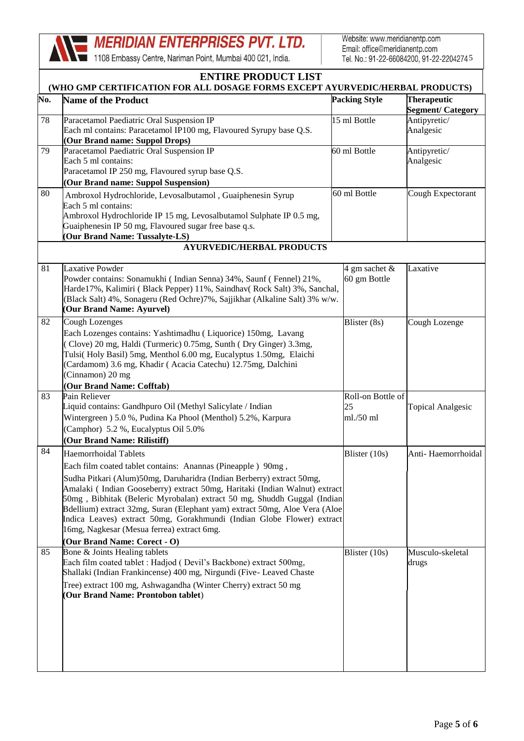1108 Embassy Centre, Nariman Point, Mumbai 400 021, India.

Website: www.meridianentp.com Email: office@meridianentp.com Tel. No.: 91-22-66084200, 91-22-2204274.5

|     | <b>ENTIRE PRODUCT LIST</b><br>(WHO GMP CERTIFICATION FOR ALL DOSAGE FORMS EXCEPT AYURVEDIC/HERBAL PRODUCTS)                                                                                                                                                                                                                                                                                                                                                                                                                                                  |                                      |                                               |  |
|-----|--------------------------------------------------------------------------------------------------------------------------------------------------------------------------------------------------------------------------------------------------------------------------------------------------------------------------------------------------------------------------------------------------------------------------------------------------------------------------------------------------------------------------------------------------------------|--------------------------------------|-----------------------------------------------|--|
| No. | <b>Name of the Product</b>                                                                                                                                                                                                                                                                                                                                                                                                                                                                                                                                   | <b>Packing Style</b>                 | <b>Therapeutic</b><br><b>Segment/Category</b> |  |
| 78  | Paracetamol Paediatric Oral Suspension IP<br>Each ml contains: Paracetamol IP100 mg, Flavoured Syrupy base Q.S.<br>(Our Brand name: Suppol Drops)                                                                                                                                                                                                                                                                                                                                                                                                            | 15 ml Bottle                         | Antipyretic/<br>Analgesic                     |  |
| 79  | Paracetamol Paediatric Oral Suspension IP<br>Each 5 ml contains:<br>Paracetamol IP 250 mg, Flavoured syrup base Q.S.<br>(Our Brand name: Suppol Suspension)                                                                                                                                                                                                                                                                                                                                                                                                  | 60 ml Bottle                         | Antipyretic/<br>Analgesic                     |  |
| 80  | Ambroxol Hydrochloride, Levosalbutamol, Guaiphenesin Syrup<br>Each 5 ml contains:<br>Ambroxol Hydrochloride IP 15 mg, Levosalbutamol Sulphate IP 0.5 mg,<br>Guaiphenesin IP 50 mg, Flavoured sugar free base q.s.<br>Our Brand Name: Tussalyte-LS)                                                                                                                                                                                                                                                                                                           | 60 ml Bottle                         | Cough Expectorant                             |  |
|     | <b>AYURVEDIC/HERBAL PRODUCTS</b>                                                                                                                                                                                                                                                                                                                                                                                                                                                                                                                             |                                      |                                               |  |
| 81  | Laxative Powder<br>Powder contains: Sonamukhi (Indian Senna) 34%, Saunf (Fennel) 21%,<br>Harde17%, Kalimiri (Black Pepper) 11%, Saindhav (Rock Salt) 3%, Sanchal,<br>(Black Salt) 4%, Sonageru (Red Ochre)7%, Sajjikhar (Alkaline Salt) 3% w/w.<br>(Our Brand Name: Ayurvel)                                                                                                                                                                                                                                                                                 | 4 gm sachet &<br>60 gm Bottle        | Laxative                                      |  |
| 82  | <b>Cough Lozenges</b><br>Each Lozenges contains: Yashtimadhu (Liquorice) 150mg, Lavang<br>(Clove) 20 mg, Haldi (Turmeric) 0.75mg, Sunth (Dry Ginger) 3.3mg,<br>Tulsi(Holy Basil) 5mg, Menthol 6.00 mg, Eucalyptus 1.50mg, Elaichi<br>(Cardamom) 3.6 mg, Khadir (Acacia Catechu) 12.75mg, Dalchini<br>(Cinnamon) 20 mg<br>(Our Brand Name: Cofftab)                                                                                                                                                                                                           | Blister (8s)                         | Cough Lozenge                                 |  |
| 83  | Pain Reliever<br>Liquid contains: Gandhpuro Oil (Methyl Salicylate / Indian<br>Wintergreen ) 5.0 %, Pudina Ka Phool (Menthol) 5.2%, Karpura<br>(Camphor) 5.2 %, Eucalyptus Oil 5.0%<br>(Our Brand Name: Rilistiff)                                                                                                                                                                                                                                                                                                                                           | Roll-on Bottle of<br>25<br>ml./50 ml | <b>Topical Analgesic</b>                      |  |
| 84  | Haemorrhoidal Tablets<br>Each film coated tablet contains: Anannas (Pineapple) 90mg,<br>Sudha Pitkari (Alum)50mg, Daruharidra (Indian Berberry) extract 50mg,<br>Amalaki (Indian Gooseberry) extract 50mg, Haritaki (Indian Walnut) extract<br>50mg, Bibhitak (Beleric Myrobalan) extract 50 mg, Shuddh Guggal (Indian<br>Bdellium) extract 32mg, Suran (Elephant yam) extract 50mg, Aloe Vera (Aloe<br>Indica Leaves) extract 50mg, Gorakhmundi (Indian Globe Flower) extract<br>16mg, Nagkesar (Mesua ferrea) extract 6mg.<br>(Our Brand Name: Corect - O) | Blister (10s)                        | Anti-Haemorrhoidal                            |  |
| 85  | Bone & Joints Healing tablets<br>Each film coated tablet : Hadjod (Devil's Backbone) extract 500mg,<br>Shallaki (Indian Frankincense) 400 mg, Nirgundi (Five- Leaved Chaste<br>Tree) extract 100 mg, Ashwagandha (Winter Cherry) extract 50 mg<br>(Our Brand Name: Prontobon tablet)                                                                                                                                                                                                                                                                         | Blister (10s)                        | Musculo-skeletal<br>drugs                     |  |